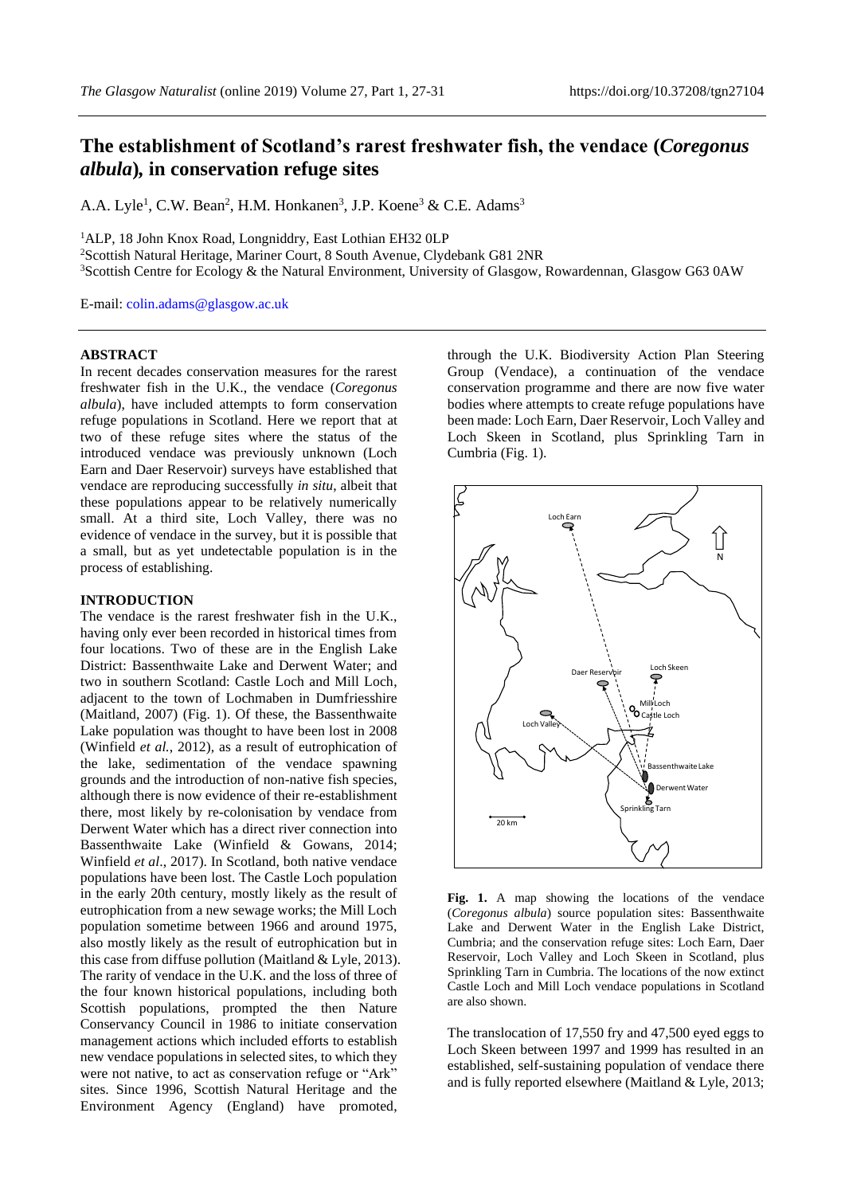# **The establishment of Scotland's rarest freshwater fish, the vendace (***Coregonus albula***)***,* **in conservation refuge sites**

A.A. Lyle<sup>1</sup>, C.W. Bean<sup>2</sup>, H.M. Honkanen<sup>3</sup>, J.P. Koene<sup>3</sup> & C.E. Adams<sup>3</sup>

<sup>1</sup>ALP, 18 John Knox Road, Longniddry, East Lothian EH32 0LP

<sup>2</sup>Scottish Natural Heritage, Mariner Court, 8 South Avenue, Clydebank G81 2NR

<sup>3</sup>Scottish Centre for Ecology & the Natural Environment, University of Glasgow, Rowardennan, Glasgow G63 0AW

E-mail: [colin.adams@glasgow.ac.uk](mailto:colin.adams@glasgow.ac.uk)

### **ABSTRACT**

In recent decades conservation measures for the rarest freshwater fish in the U.K., the vendace (*Coregonus albula*), have included attempts to form conservation refuge populations in Scotland. Here we report that at two of these refuge sites where the status of the introduced vendace was previously unknown (Loch Earn and Daer Reservoir) surveys have established that vendace are reproducing successfully *in situ*, albeit that these populations appear to be relatively numerically small. At a third site, Loch Valley, there was no evidence of vendace in the survey, but it is possible that a small, but as yet undetectable population is in the process of establishing.

### **INTRODUCTION**

The vendace is the rarest freshwater fish in the U.K., having only ever been recorded in historical times from four locations. Two of these are in the English Lake District: Bassenthwaite Lake and Derwent Water; and two in southern Scotland: Castle Loch and Mill Loch, adjacent to the town of Lochmaben in Dumfriesshire (Maitland, 2007) (Fig. 1). Of these, the Bassenthwaite Lake population was thought to have been lost in 2008 (Winfield *et al.*, 2012), as a result of eutrophication of the lake, sedimentation of the vendace spawning grounds and the introduction of non-native fish species, although there is now evidence of their re-establishment there, most likely by re-colonisation by vendace from Derwent Water which has a direct river connection into Bassenthwaite Lake (Winfield & Gowans, 2014; Winfield *et al*., 2017). In Scotland, both native vendace populations have been lost. The Castle Loch population in the early 20th century, mostly likely as the result of eutrophication from a new sewage works; the Mill Loch population sometime between 1966 and around 1975, also mostly likely as the result of eutrophication but in this case from diffuse pollution (Maitland & Lyle, 2013). The rarity of vendace in the U.K. and the loss of three of the four known historical populations, including both Scottish populations, prompted the then Nature Conservancy Council in 1986 to initiate conservation management actions which included efforts to establish new vendace populations in selected sites, to which they were not native, to act as conservation refuge or "Ark" sites. Since 1996, Scottish Natural Heritage and the Environment Agency (England) have promoted,

through the U.K. Biodiversity Action Plan Steering Group (Vendace), a continuation of the vendace conservation programme and there are now five water bodies where attempts to create refuge populations have been made: Loch Earn, Daer Reservoir, Loch Valley and Loch Skeen in Scotland, plus Sprinkling Tarn in Cumbria (Fig. 1).



Fig. 1. A map showing the locations of the vendace (*Coregonus albula*) source population sites: Bassenthwaite Lake and Derwent Water in the English Lake District, Cumbria; and the conservation refuge sites: Loch Earn, Daer Reservoir, Loch Valley and Loch Skeen in Scotland, plus Sprinkling Tarn in Cumbria. The locations of the now extinct Castle Loch and Mill Loch vendace populations in Scotland are also shown.

The translocation of 17,550 fry and 47,500 eyed eggs to Loch Skeen between 1997 and 1999 has resulted in an established, self-sustaining population of vendace there and is fully reported elsewhere (Maitland & Lyle, 2013;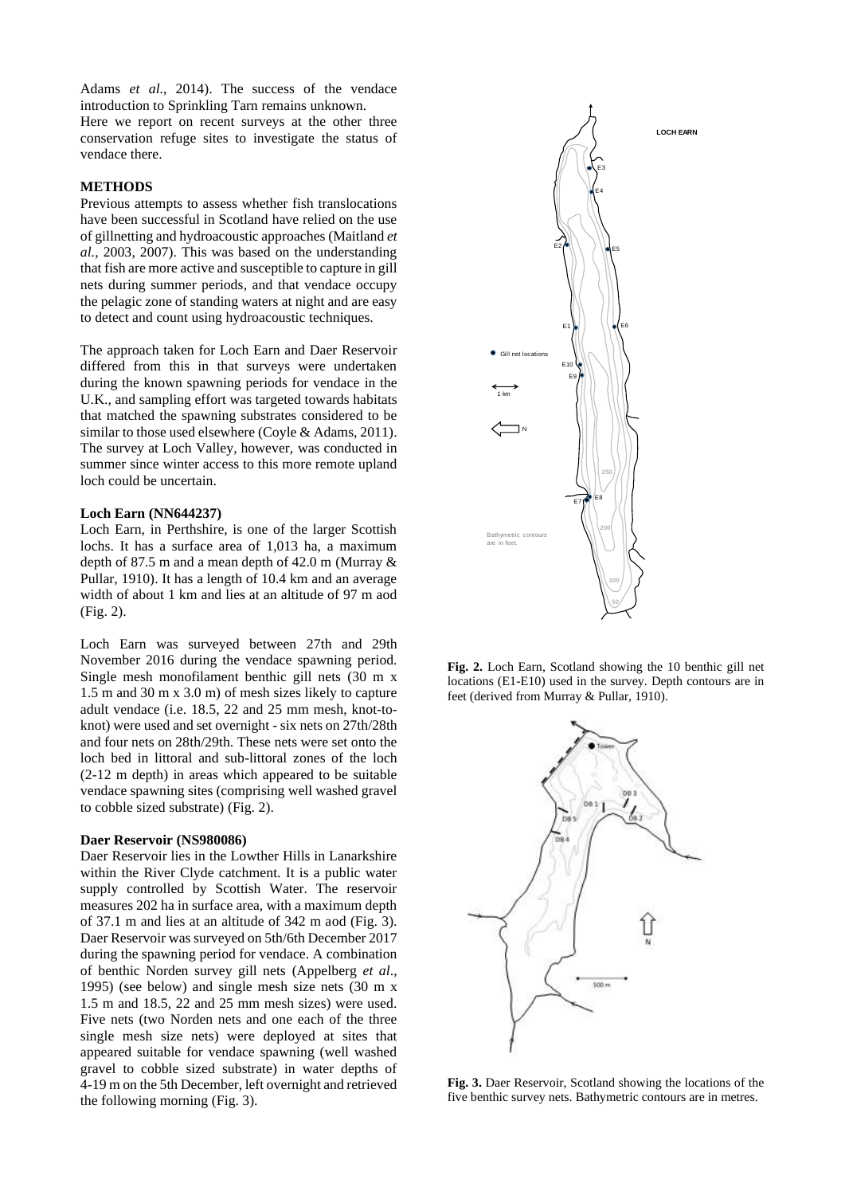Adams *et al.*, 2014). The success of the vendace introduction to Sprinkling Tarn remains unknown.

Here we report on recent surveys at the other three conservation refuge sites to investigate the status of vendace there.

### **METHODS**

Previous attempts to assess whether fish translocations have been successful in Scotland have relied on the use of gillnetting and hydroacoustic approaches (Maitland *et al.*, 2003, 2007). This was based on the understanding that fish are more active and susceptible to capture in gill nets during summer periods, and that vendace occupy the pelagic zone of standing waters at night and are easy to detect and count using hydroacoustic techniques.

The approach taken for Loch Earn and Daer Reservoir differed from this in that surveys were undertaken during the known spawning periods for vendace in the U.K., and sampling effort was targeted towards habitats that matched the spawning substrates considered to be similar to those used elsewhere (Coyle & Adams, 2011). The survey at Loch Valley, however, was conducted in summer since winter access to this more remote upland loch could be uncertain.

#### **Loch Earn (NN644237)**

Loch Earn, in Perthshire, is one of the larger Scottish lochs. It has a surface area of 1,013 ha, a maximum depth of 87.5 m and a mean depth of 42.0 m (Murray & Pullar, 1910). It has a length of 10.4 km and an average width of about 1 km and lies at an altitude of 97 m aod (Fig. 2).

Loch Earn was surveyed between 27th and 29th November 2016 during the vendace spawning period. Single mesh monofilament benthic gill nets (30 m x 1.5 m and 30 m x 3.0 m) of mesh sizes likely to capture adult vendace (i.e. 18.5, 22 and 25 mm mesh, knot-toknot) were used and set overnight - six nets on 27th/28th and four nets on 28th/29th. These nets were set onto the loch bed in littoral and sub-littoral zones of the loch (2-12 m depth) in areas which appeared to be suitable vendace spawning sites (comprising well washed gravel to cobble sized substrate) (Fig. 2).

#### **Daer Reservoir (NS980086)**

Daer Reservoir lies in the Lowther Hills in Lanarkshire within the River Clyde catchment. It is a public water supply controlled by Scottish Water. The reservoir measures 202 ha in surface area, with a maximum depth of 37.1 m and lies at an altitude of 342 m aod (Fig. 3). Daer Reservoir was surveyed on 5th/6th December 2017 during the spawning period for vendace. A combination of benthic Norden survey gill nets (Appelberg *et al*., 1995) (see below) and single mesh size nets (30 m x 1.5 m and 18.5, 22 and 25 mm mesh sizes) were used. Five nets (two Norden nets and one each of the three single mesh size nets) were deployed at sites that appeared suitable for vendace spawning (well washed gravel to cobble sized substrate) in water depths of 4-19 m on the 5th December, left overnight and retrieved the following morning (Fig. 3).



**Fig. 2.** Loch Earn, Scotland showing the 10 benthic gill net locations (E1-E10) used in the survey. Depth contours are in feet (derived from Murray & Pullar, 1910).



**Fig. 3.** Daer Reservoir, Scotland showing the locations of the five benthic survey nets. Bathymetric contours are in metres.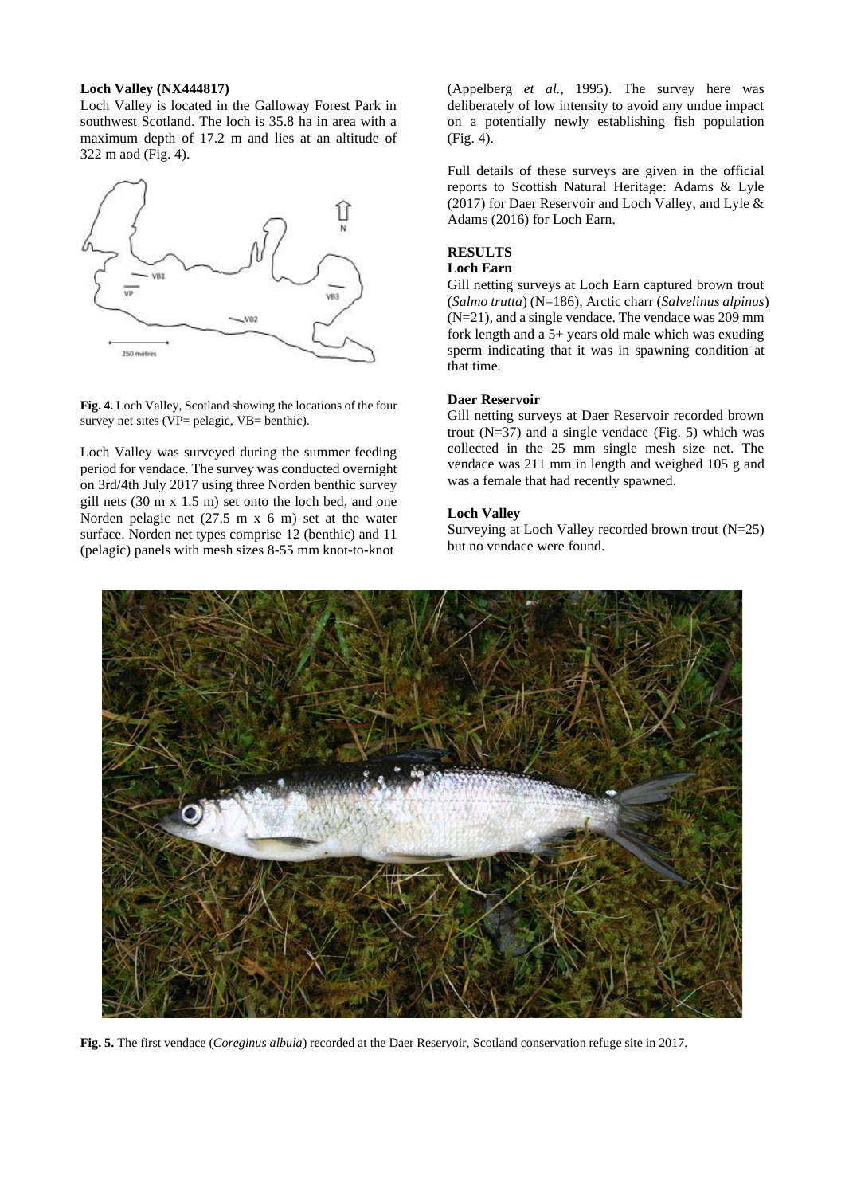### **Loch Valley (NX444817)**

Loch Valley is located in the Galloway Forest Park in southwest Scotland. The loch is 35.8 ha in area with a maximum depth of 17.2 m and lies at an altitude of 322 m aod (Fig. 4).



**Fig. 4.** Loch Valley, Scotland showing the locations of the four survey net sites (VP= pelagic, VB= benthic).

Loch Valley was surveyed during the summer feeding period for vendace. The survey was conducted overnight on 3rd/4th July 2017 using three Norden benthic survey gill nets (30 m x 1.5 m) set onto the loch bed, and one Norden pelagic net (27.5 m x 6 m) set at the water surface. Norden net types comprise 12 (benthic) and 11 (pelagic) panels with mesh sizes 8-55 mm knot-to-knot

(Appelberg *et al.*, 1995). The survey here was deliberately of low intensity to avoid any undue impact on a potentially newly establishing fish population (Fig. 4).

Full details of these surveys are given in the official reports to Scottish Natural Heritage: Adams & Lyle (2017) for Daer Reservoir and Loch Valley, and Lyle & Adams (2016) for Loch Earn.

## **RESULTS**

### **Loch Earn**

Gill netting surveys at Loch Earn captured brown trout (*Salmo trutta*) (N=186)*,* Arctic charr (*Salvelinus alpinus*) (N=21), and a single vendace. The vendace was 209 mm fork length and a  $5+$  years old male which was exuding sperm indicating that it was in spawning condition at that time.

### **Daer Reservoir**

Gill netting surveys at Daer Reservoir recorded brown trout  $(N=37)$  and a single vendace (Fig. 5) which was collected in the 25 mm single mesh size net. The vendace was 211 mm in length and weighed 105 g and was a female that had recently spawned.

### **Loch Valley**

Surveying at Loch Valley recorded brown trout (N=25) but no vendace were found.



**Fig. 5.** The first vendace (*Coreginus albula*) recorded at the Daer Reservoir, Scotland conservation refuge site in 2017.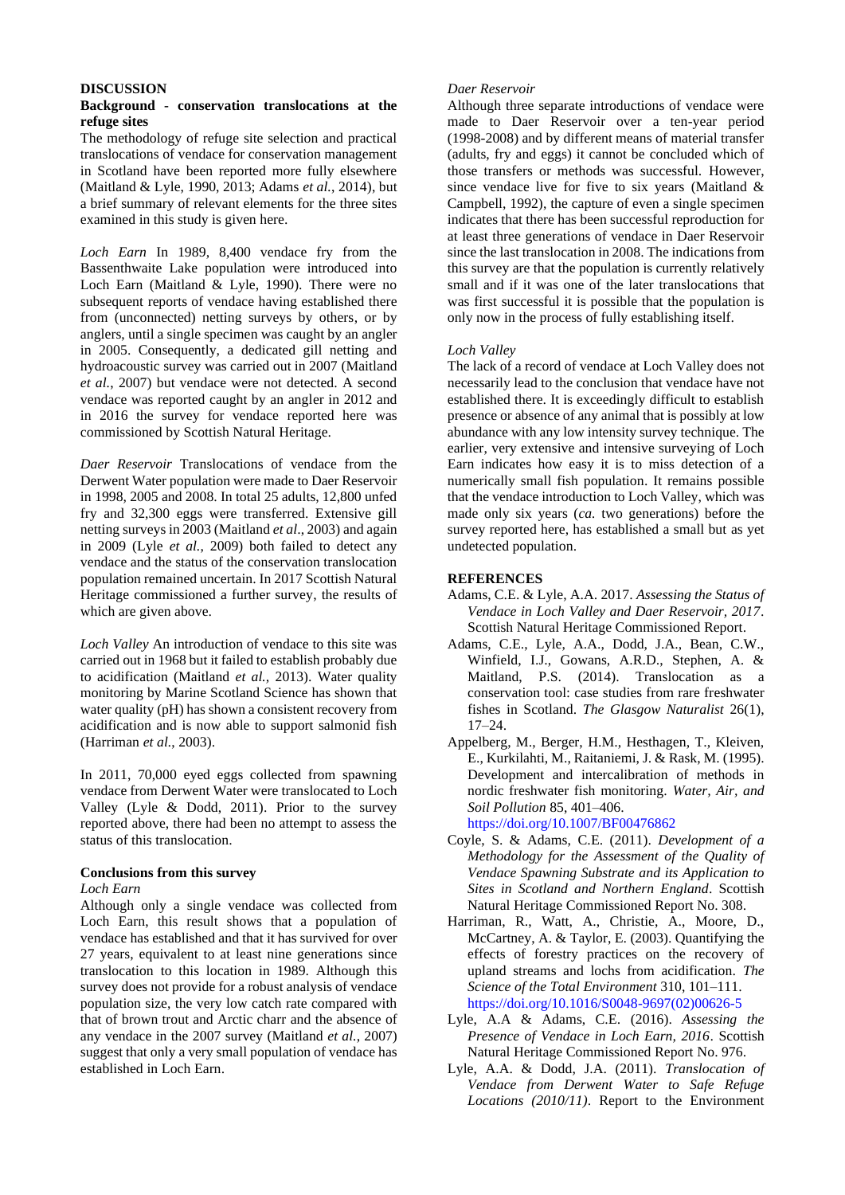### **DISCUSSION**

### **Background - conservation translocations at the refuge sites**

The methodology of refuge site selection and practical translocations of vendace for conservation management in Scotland have been reported more fully elsewhere (Maitland & Lyle, 1990, 2013; Adams *et al.*, 2014), but a brief summary of relevant elements for the three sites examined in this study is given here.

*Loch Earn* In 1989, 8,400 vendace fry from the Bassenthwaite Lake population were introduced into Loch Earn (Maitland & Lyle, 1990). There were no subsequent reports of vendace having established there from (unconnected) netting surveys by others, or by anglers, until a single specimen was caught by an angler in 2005. Consequently, a dedicated gill netting and hydroacoustic survey was carried out in 2007 (Maitland *et al.*, 2007) but vendace were not detected. A second vendace was reported caught by an angler in 2012 and in 2016 the survey for vendace reported here was commissioned by Scottish Natural Heritage.

*Daer Reservoir* Translocations of vendace from the Derwent Water population were made to Daer Reservoir in 1998, 2005 and 2008. In total 25 adults, 12,800 unfed fry and 32,300 eggs were transferred. Extensive gill netting surveys in 2003 (Maitland *et al*., 2003) and again in 2009 (Lyle *et al.*, 2009) both failed to detect any vendace and the status of the conservation translocation population remained uncertain. In 2017 Scottish Natural Heritage commissioned a further survey, the results of which are given above.

*Loch Valley* An introduction of vendace to this site was carried out in 1968 but it failed to establish probably due to acidification (Maitland *et al.,* 2013). Water quality monitoring by Marine Scotland Science has shown that water quality (pH) has shown a consistent recovery from acidification and is now able to support salmonid fish (Harriman *et al.*, 2003).

In 2011, 70,000 eyed eggs collected from spawning vendace from Derwent Water were translocated to Loch Valley (Lyle & Dodd, 2011). Prior to the survey reported above, there had been no attempt to assess the status of this translocation.

#### **Conclusions from this survey**

#### *Loch Earn*

Although only a single vendace was collected from Loch Earn, this result shows that a population of vendace has established and that it has survived for over 27 years, equivalent to at least nine generations since translocation to this location in 1989. Although this survey does not provide for a robust analysis of vendace population size, the very low catch rate compared with that of brown trout and Arctic charr and the absence of any vendace in the 2007 survey (Maitland *et al.*, 2007) suggest that only a very small population of vendace has established in Loch Earn.

### *Daer Reservoir*

Although three separate introductions of vendace were made to Daer Reservoir over a ten-year period (1998-2008) and by different means of material transfer (adults, fry and eggs) it cannot be concluded which of those transfers or methods was successful. However, since vendace live for five to six years (Maitland & Campbell, 1992), the capture of even a single specimen indicates that there has been successful reproduction for at least three generations of vendace in Daer Reservoir since the last translocation in 2008. The indications from this survey are that the population is currently relatively small and if it was one of the later translocations that was first successful it is possible that the population is only now in the process of fully establishing itself.

#### *Loch Valley*

The lack of a record of vendace at Loch Valley does not necessarily lead to the conclusion that vendace have not established there. It is exceedingly difficult to establish presence or absence of any animal that is possibly at low abundance with any low intensity survey technique. The earlier, very extensive and intensive surveying of Loch Earn indicates how easy it is to miss detection of a numerically small fish population. It remains possible that the vendace introduction to Loch Valley, which was made only six years (*ca.* two generations) before the survey reported here, has established a small but as yet undetected population.

### **REFERENCES**

- Adams, C.E. & Lyle, A.A. 2017. *Assessing the Status of Vendace in Loch Valley and Daer Reservoir, 2017*. Scottish Natural Heritage Commissioned Report.
- Adams, C.E., Lyle, A.A., Dodd, J.A., Bean, C.W., Winfield, I.J., Gowans, A.R.D., Stephen, A. & Maitland, P.S. (2014). Translocation as a conservation tool: case studies from rare freshwater fishes in Scotland. *The Glasgow Naturalist* 26(1), 17–24.
- Appelberg, M., Berger, H.M., Hesthagen, T., Kleiven, E., Kurkilahti, M., Raitaniemi, J. & Rask, M. (1995). Development and intercalibration of methods in nordic freshwater fish monitoring. *Water, Air, and Soil Pollution* 85, 401–406. https://doi.org/10.1007/BF00476862
- Coyle, S. & Adams, C.E. (2011). *Development of a Methodology for the Assessment of the Quality of Vendace Spawning Substrate and its Application to Sites in Scotland and Northern England*. Scottish Natural Heritage Commissioned Report No. 308.
- Harriman, R., Watt, A., Christie, A., Moore, D., McCartney, A. & Taylor, E. (2003). Quantifying the effects of forestry practices on the recovery of upland streams and lochs from acidification. *The Science of the Total Environment* 310, 101–111. https://doi.org/10.1016/S0048-9697(02)00626-5
- Lyle, A.A & Adams, C.E. (2016). *Assessing the Presence of Vendace in Loch Earn, 2016*. Scottish Natural Heritage Commissioned Report No. 976.
- Lyle, A.A. & Dodd, J.A. (2011). *Translocation of Vendace from Derwent Water to Safe Refuge Locations (2010/11)*. Report to the Environment